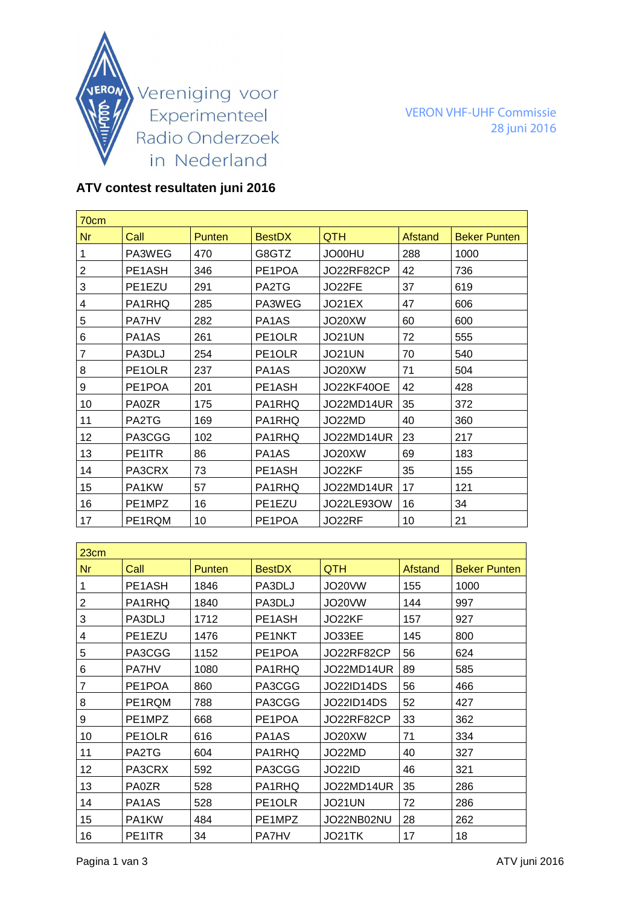

VERON VHF-UHF Commissie 28 juni 2016

## **ATV contest resultaten juni 2016**

| 70cm           |                                |        |                                |                   |         |                     |
|----------------|--------------------------------|--------|--------------------------------|-------------------|---------|---------------------|
| <b>Nr</b>      | Call                           | Punten | <b>BestDX</b>                  | QTH               | Afstand | <b>Beker Punten</b> |
| 1              | PA3WEG                         | 470    | G8GTZ                          | JO00HU            | 288     | 1000                |
| $\overline{2}$ | PE1ASH                         | 346    | PE1POA                         | JO22RF82CP        | 42      | 736                 |
| 3              | PE1EZU                         | 291    | PA2TG                          | JO22FE            | 37      | 619                 |
| 4              | PA1RHQ                         | 285    | PA3WEG                         | JO21EX            | 47      | 606                 |
| 5              | <b>PA7HV</b>                   | 282    | PA <sub>1</sub> A <sub>S</sub> | JO20XW            | 60      | 600                 |
| 6              | PA <sub>1</sub> A <sub>S</sub> | 261    | PE <sub>1</sub> OLR            | JO21UN            | 72      | 555                 |
| $\overline{7}$ | PA3DLJ                         | 254    | PE1OLR                         | <b>JO21UN</b>     | 70      | 540                 |
| 8              | PE1OLR                         | 237    | PA <sub>1</sub> A <sub>S</sub> | JO20XW            | 71      | 504                 |
| 9              | PE1POA                         | 201    | PE1ASH                         | <b>JO22KF40OE</b> | 42      | 428                 |
| 10             | <b>PA0ZR</b>                   | 175    | PA1RHQ                         | JO22MD14UR        | 35      | 372                 |
| 11             | PA2TG                          | 169    | PA1RHQ                         | JO22MD            | 40      | 360                 |
| 12             | PA3CGG                         | 102    | PA1RHQ                         | JO22MD14UR        | 23      | 217                 |
| 13             | PE1ITR                         | 86     | PA <sub>1</sub> A <sub>S</sub> | JO20XW            | 69      | 183                 |
| 14             | PA3CRX                         | 73     | PE1ASH                         | JO22KF            | 35      | 155                 |
| 15             | PA1KW                          | 57     | PA1RHQ                         | JO22MD14UR        | 17      | 121                 |
| 16             | PE1MPZ                         | 16     | PE1EZU                         | JO22LE930W        | 16      | 34                  |
| 17             | PE1RQM                         | 10     | PE1POA                         | JO22RF            | 10      | 21                  |

| 23cm      |                                 |               |                                |            |                |                     |
|-----------|---------------------------------|---------------|--------------------------------|------------|----------------|---------------------|
| <b>Nr</b> | Call                            | <b>Punten</b> | <b>BestDX</b>                  | <b>QTH</b> | <b>Afstand</b> | <b>Beker Punten</b> |
|           | PE <sub>1</sub> A <sub>SH</sub> | 1846          | PA3DLJ                         | JO20VW     | 155            | 1000                |
| 2         | PA1RHQ                          | 1840          | PA3DLJ                         | JO20VW     | 144            | 997                 |
| 3         | PA3DLJ                          | 1712          | PE1ASH                         | JO22KF     | 157            | 927                 |
| 4         | PE1EZU                          | 1476          | PE1NKT                         | JO33EE     | 145            | 800                 |
| 5         | PA3CGG                          | 1152          | PE1POA                         | JO22RF82CP | 56             | 624                 |
| 6         | <b>PA7HV</b>                    | 1080          | PA1RHQ                         | JO22MD14UR | 89             | 585                 |
| 7         | PE1POA                          | 860           | PA3CGG                         | JO22ID14DS | 56             | 466                 |
| 8         | PE1RQM                          | 788           | PA3CGG                         | JO22ID14DS | 52             | 427                 |
| 9         | PE1MPZ                          | 668           | PE1POA                         | JO22RF82CP | 33             | 362                 |
| 10        | PE <sub>1</sub> OLR             | 616           | PA <sub>1</sub> A <sub>S</sub> | JO20XW     | 71             | 334                 |
| 11        | PA2TG                           | 604           | PA1RHQ                         | JO22MD     | 40             | 327                 |
| 12        | PA3CRX                          | 592           | PA3CGG                         | JO22ID     | 46             | 321                 |
| 13        | <b>PA0ZR</b>                    | 528           | PA1RHQ                         | JO22MD14UR | 35             | 286                 |
| 14        | PA <sub>1</sub> A <sub>S</sub>  | 528           | PE <sub>1</sub> OLR            | JO21UN     | 72             | 286                 |
| 15        | PA1KW                           | 484           | PE1MPZ                         | JO22NB02NU | 28             | 262                 |
| 16        | PE1ITR                          | 34            | <b>PA7HV</b>                   | JO21TK     | 17             | 18                  |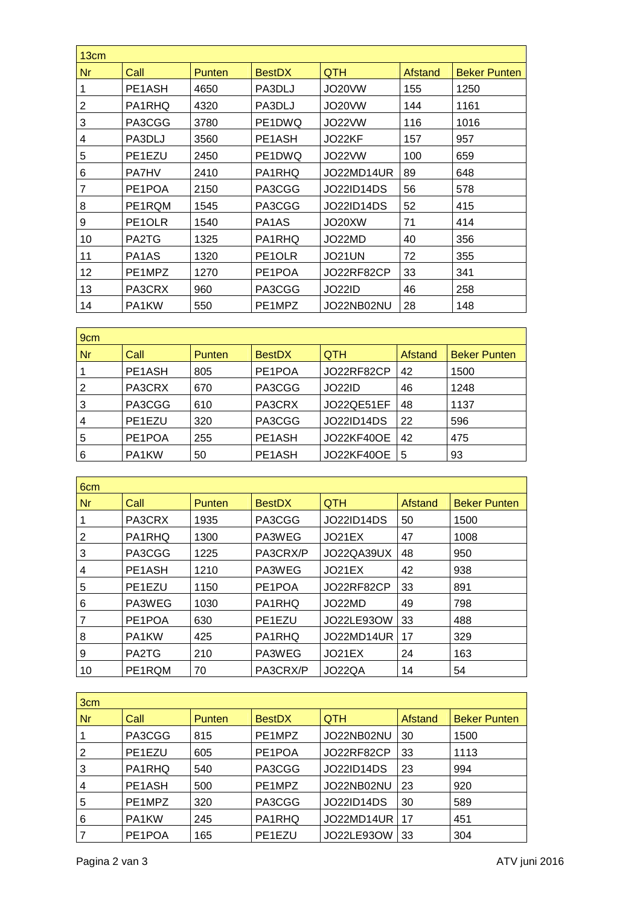| 13cm           |                                |               |                                |            |         |                     |
|----------------|--------------------------------|---------------|--------------------------------|------------|---------|---------------------|
| Nr             | Call                           | <b>Punten</b> | <b>BestDX</b>                  | <b>QTH</b> | Afstand | <b>Beker Punten</b> |
|                | PE1ASH                         | 4650          | PA3DLJ                         | JO20VW     | 155     | 1250                |
| $\overline{2}$ | PA1RHQ                         | 4320          | PA3DLJ                         | JO20VW     | 144     | 1161                |
| 3              | PA3CGG                         | 3780          | PE1DWQ                         | JO22VW     | 116     | 1016                |
| 4              | PA3DLJ                         | 3560          | PE1ASH                         | JO22KF     | 157     | 957                 |
| 5              | PE1EZU                         | 2450          | PE1DWQ                         | JO22VW     | 100     | 659                 |
| 6              | <b>PA7HV</b>                   | 2410          | PA1RHQ                         | JO22MD14UR | 89      | 648                 |
| 7              | PE1POA                         | 2150          | PA3CGG                         | JO22ID14DS | 56      | 578                 |
| 8              | PE1RQM                         | 1545          | PA3CGG                         | JO22ID14DS | 52      | 415                 |
| 9              | PE1OLR                         | 1540          | PA <sub>1</sub> A <sub>S</sub> | JO20XW     | 71      | 414                 |
| 10             | PA2TG                          | 1325          | PA1RHQ                         | JO22MD     | 40      | 356                 |
| 11             | PA <sub>1</sub> A <sub>S</sub> | 1320          | PE1OLR                         | JO21UN     | 72      | 355                 |
| 12             | PE1MPZ                         | 1270          | PE1POA                         | JO22RF82CP | 33      | 341                 |
| 13             | PA3CRX                         | 960           | PA3CGG                         | JO22ID     | 46      | 258                 |
| 14             | PA1KW                          | 550           | PE1MPZ                         | JO22NB02NU | 28      | 148                 |

| 9 <sub>cm</sub> |        |               |               |                   |         |                     |  |
|-----------------|--------|---------------|---------------|-------------------|---------|---------------------|--|
| <b>Nr</b>       | Call   | <b>Punten</b> | <b>BestDX</b> | <b>QTH</b>        | Afstand | <b>Beker Punten</b> |  |
|                 | PE1ASH | 805           | PE1POA        | JO22RF82CP        | 42      | 1500                |  |
| 2               | PA3CRX | 670           | PA3CGG        | <b>JO22ID</b>     | 46      | 1248                |  |
| 3               | PA3CGG | 610           | PA3CRX        | JO22QE51EF        | 48      | 1137                |  |
| $\overline{4}$  | PE1EZU | 320           | PA3CGG        | <b>JO22ID14DS</b> | 22      | 596                 |  |
| 5               | PE1POA | 255           | PE1ASH        | <b>JO22KF40OE</b> | 42      | 475                 |  |
| 6               | PA1KW  | 50            | PE1ASH        | <b>JO22KF40OE</b> | 5       | 93                  |  |

| 6 <sub>cm</sub> |        |               |               |            |         |                     |
|-----------------|--------|---------------|---------------|------------|---------|---------------------|
| <b>Nr</b>       | Call   | <b>Punten</b> | <b>BestDX</b> | <b>QTH</b> | Afstand | <b>Beker Punten</b> |
|                 | PA3CRX | 1935          | PA3CGG        | JO22ID14DS | 50      | 1500                |
| 2               | PA1RHQ | 1300          | PA3WEG        | JO21EX     | 47      | 1008                |
| 3               | PA3CGG | 1225          | PA3CRX/P      | JO22QA39UX | 48      | 950                 |
| 4               | PE1ASH | 1210          | PA3WEG        | JO21EX     | 42      | 938                 |
| 5               | PE1EZU | 1150          | PE1POA        | JO22RF82CP | 33      | 891                 |
| 6               | PA3WEG | 1030          | PA1RHQ        | JO22MD     | 49      | 798                 |
|                 | PE1POA | 630           | PE1EZU        | JO22LE930W | 33      | 488                 |
| 8               | PA1KW  | 425           | PA1RHQ        | JO22MD14UR | 17      | 329                 |
| 9               | PA2TG  | 210           | PA3WEG        | JO21EX     | 24      | 163                 |
| 10              | PE1RQM | 70            | PA3CRX/P      | JO22QA     | 14      | 54                  |

| 3cm            |        |               |               |            |         |                     |  |
|----------------|--------|---------------|---------------|------------|---------|---------------------|--|
| <b>Nr</b>      | Call   | <b>Punten</b> | <b>BestDX</b> | <b>QTH</b> | Afstand | <b>Beker Punten</b> |  |
| 1              | PA3CGG | 815           | PE1MPZ        | JO22NB02NU | 30      | 1500                |  |
| $\overline{2}$ | PE1EZU | 605           | PE1POA        | JO22RF82CP | 33      | 1113                |  |
| $\overline{3}$ | PA1RHQ | 540           | PA3CGG        | JO22ID14DS | 23      | 994                 |  |
| $\overline{4}$ | PE1ASH | 500           | PE1MPZ        | JO22NB02NU | 23      | 920                 |  |
| 5              | PE1MPZ | 320           | PA3CGG        | JO22ID14DS | 30      | 589                 |  |
| 6              | PA1KW  | 245           | PA1RHQ        | JO22MD14UR | 17      | 451                 |  |
|                | PE1POA | 165           | PE1EZU        | JO22LE930W | 33      | 304                 |  |